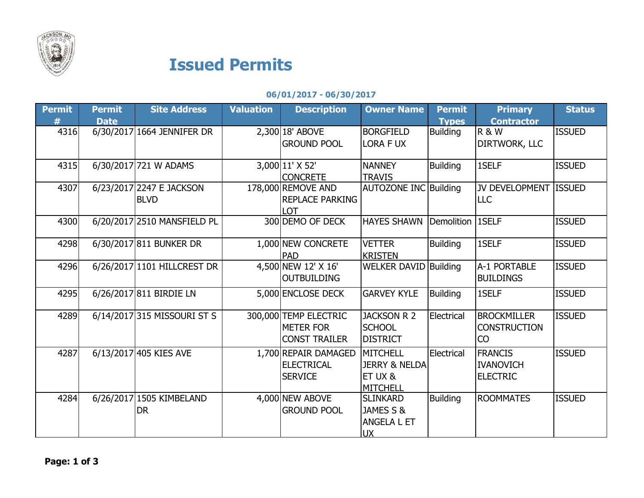

## Issued Permits

## 06/01/2017 - 06/30/2017

| <b>Permit</b> | <b>Permit</b> | <b>Site Address</b>         | <b>Valuation</b> | <b>Description</b>     | <b>Owner Name</b>            | <b>Permit</b>    | <b>Primary</b>        | <b>Status</b> |
|---------------|---------------|-----------------------------|------------------|------------------------|------------------------------|------------------|-----------------------|---------------|
| #             | <b>Date</b>   |                             |                  |                        |                              | <b>Types</b>     | <b>Contractor</b>     |               |
| 4316          |               | 6/30/2017 1664 JENNIFER DR  |                  | 2,300 18' ABOVE        | <b>BORGFIELD</b>             | <b>Building</b>  | <b>R&amp;W</b>        | <b>ISSUED</b> |
|               |               |                             |                  | <b>GROUND POOL</b>     | <b>LORA F UX</b>             |                  | DIRTWORK, LLC         |               |
|               |               |                             |                  |                        |                              |                  |                       |               |
| 4315          |               | 6/30/2017 721 W ADAMS       |                  | 3,000 11' X 52'        | <b>NANNEY</b>                | <b>Building</b>  | 1SELF                 | <b>ISSUED</b> |
|               |               |                             |                  | <b>CONCRETE</b>        | <b>TRAVIS</b>                |                  |                       |               |
| 4307          |               | 6/23/2017 2247 E JACKSON    |                  | 178,000 REMOVE AND     | <b>AUTOZONE INC Building</b> |                  | JV DEVELOPMENT ISSUED |               |
|               |               | <b>BLVD</b>                 |                  | <b>REPLACE PARKING</b> |                              |                  | <b>LLC</b>            |               |
|               |               |                             |                  | LOT                    |                              |                  |                       |               |
| 4300          |               | 6/20/2017 2510 MANSFIELD PL |                  | 300 DEMO OF DECK       | <b>HAYES SHAWN</b>           | Demolition 1SELF |                       | <b>ISSUED</b> |
|               |               |                             |                  |                        |                              |                  |                       |               |
| 4298          |               | 6/30/2017 811 BUNKER DR     |                  | 1,000 NEW CONCRETE     | <b>VETTER</b>                | <b>Building</b>  | 1SELF                 | <b>ISSUED</b> |
|               |               |                             |                  | <b>PAD</b>             | <b>KRISTEN</b>               |                  |                       |               |
| 4296          |               | 6/26/2017 1101 HILLCREST DR |                  | 4,500 NEW 12' X 16'    | <b>WELKER DAVID Building</b> |                  | A-1 PORTABLE          | <b>ISSUED</b> |
|               |               |                             |                  | <b>OUTBUILDING</b>     |                              |                  | <b>BUILDINGS</b>      |               |
| 4295          |               | 6/26/2017 811 BIRDIE LN     |                  | 5,000 ENCLOSE DECK     | <b>GARVEY KYLE</b>           | <b>Building</b>  | 1SELF                 | <b>ISSUED</b> |
|               |               |                             |                  |                        |                              |                  |                       |               |
| 4289          |               | 6/14/2017 315 MISSOURI ST S |                  | 300,000 TEMP ELECTRIC  | <b>JACKSON R 2</b>           | Electrical       | <b>BROCKMILLER</b>    | <b>ISSUED</b> |
|               |               |                             |                  |                        |                              |                  |                       |               |
|               |               |                             |                  | <b>METER FOR</b>       | <b>SCHOOL</b>                |                  | <b>CONSTRUCTION</b>   |               |
|               |               |                             |                  | <b>CONST TRAILER</b>   | <b>DISTRICT</b>              |                  | <b>CO</b>             |               |
| 4287          |               | 6/13/2017 405 KIES AVE      |                  | 1,700 REPAIR DAMAGED   | <b>MITCHELL</b>              | Electrical       | <b>FRANCIS</b>        | <b>ISSUED</b> |
|               |               |                             |                  | <b>ELECTRICAL</b>      | <b>JERRY &amp; NELDA</b>     |                  | <b>IVANOVICH</b>      |               |
|               |               |                             |                  | <b>SERVICE</b>         | ET UX &                      |                  | <b>ELECTRIC</b>       |               |
|               |               |                             |                  |                        | <b>MITCHELL</b>              |                  |                       |               |
| 4284          |               | 6/26/2017 1505 KIMBELAND    |                  | 4,000 NEW ABOVE        | <b>SLINKARD</b>              | <b>Building</b>  | <b>ROOMMATES</b>      | <b>ISSUED</b> |
|               |               | <b>DR</b>                   |                  | <b>GROUND POOL</b>     | JAMES S &                    |                  |                       |               |
|               |               |                             |                  |                        | ANGELA L ET                  |                  |                       |               |
|               |               |                             |                  |                        | <b>UX</b>                    |                  |                       |               |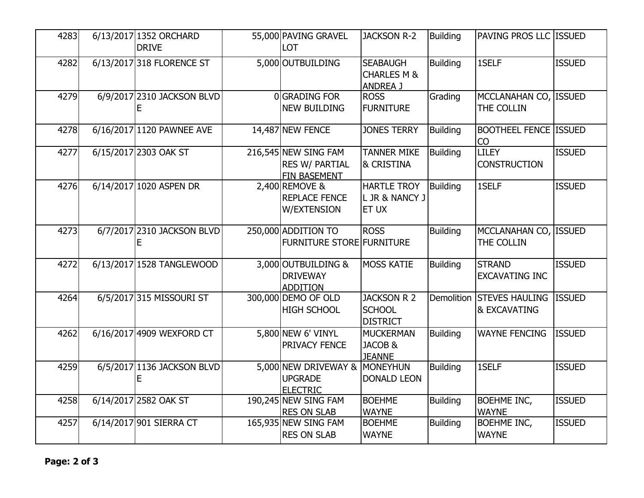| 4283 | 6/13/2017 1352 ORCHARD     | 55,000 PAVING GRAVEL                          | <b>JACKSON R-2</b>                        | <b>Building</b> | PAVING PROS LLC ISSUED              |               |
|------|----------------------------|-----------------------------------------------|-------------------------------------------|-----------------|-------------------------------------|---------------|
|      | <b>DRIVE</b>               | LOT                                           |                                           |                 |                                     |               |
| 4282 | 6/13/2017 318 FLORENCE ST  | 5,000 OUTBUILDING                             | <b>SEABAUGH</b><br><b>CHARLES M &amp;</b> | <b>Building</b> | 1SELF                               | <b>ISSUED</b> |
|      |                            |                                               | <b>ANDREA J</b>                           |                 |                                     |               |
| 4279 | 6/9/2017 2310 JACKSON BLVD | 0 GRADING FOR                                 | <b>ROSS</b>                               | Grading         | MCCLANAHAN CO, ISSUED               |               |
|      |                            | <b>NEW BUILDING</b>                           | <b>FURNITURE</b>                          |                 | THE COLLIN                          |               |
| 4278 | 6/16/2017 1120 PAWNEE AVE  | 14,487 NEW FENCE                              | <b>JONES TERRY</b>                        | <b>Building</b> | <b>BOOTHEEL FENCE ISSUED</b><br>CO  |               |
| 4277 | 6/15/2017 2303 OAK ST      | 216,545 NEW SING FAM<br><b>RES W/ PARTIAL</b> | <b>TANNER MIKE</b><br>& CRISTINA          | <b>Building</b> | <b>LILEY</b><br><b>CONSTRUCTION</b> | <b>ISSUED</b> |
|      |                            | FIN BASEMENT                                  |                                           |                 |                                     |               |
| 4276 | 6/14/2017 1020 ASPEN DR    | 2,400 REMOVE &                                | <b>HARTLE TROY</b>                        | <b>Building</b> | 1SELF                               | <b>ISSUED</b> |
|      |                            | <b>REPLACE FENCE</b>                          | L JR & NANCY J                            |                 |                                     |               |
|      |                            | <b>W/EXTENSION</b>                            | <b>ET UX</b>                              |                 |                                     |               |
| 4273 | 6/7/2017 2310 JACKSON BLVD | 250,000 ADDITION TO                           | <b>ROSS</b>                               | <b>Building</b> | MCCLANAHAN CO, ISSUED               |               |
|      |                            | <b>FURNITURE STORE FURNITURE</b>              |                                           |                 | THE COLLIN                          |               |
| 4272 | 6/13/2017 1528 TANGLEWOOD  | 3,000 OUTBUILDING &                           | <b>MOSS KATIE</b>                         | <b>Building</b> | <b>STRAND</b>                       | <b>ISSUED</b> |
|      |                            | <b>DRIVEWAY</b>                               |                                           |                 | <b>EXCAVATING INC</b>               |               |
| 4264 | 6/5/2017 315 MISSOURI ST   | <b>ADDITION</b><br>300,000 DEMO OF OLD        | <b>JACKSON R 2</b>                        | Demolition      | <b>STEVES HAULING</b>               | <b>ISSUED</b> |
|      |                            | <b>HIGH SCHOOL</b>                            | <b>SCHOOL</b>                             |                 | & EXCAVATING                        |               |
|      |                            |                                               | <b>DISTRICT</b>                           |                 |                                     |               |
| 4262 | 6/16/2017 4909 WEXFORD CT  | 5,800 NEW 6' VINYL                            | <b>MUCKERMAN</b>                          | <b>Building</b> | <b>WAYNE FENCING</b>                | <b>ISSUED</b> |
|      |                            | PRIVACY FENCE                                 | JACOB &                                   |                 |                                     |               |
| 4259 | 6/5/2017 1136 JACKSON BLVD | 5,000 NEW DRIVEWAY & MONEYHUN                 | <b>JEANNE</b>                             | <b>Building</b> | 1SELF                               | <b>ISSUED</b> |
|      |                            | <b>UPGRADE</b>                                | <b>DONALD LEON</b>                        |                 |                                     |               |
|      |                            | <b>ELECTRIC</b>                               |                                           |                 |                                     |               |
| 4258 | 6/14/2017 2582 OAK ST      | 190,245 NEW SING FAM                          | <b>BOEHME</b>                             | <b>Building</b> | <b>BOEHME INC,</b>                  | <b>ISSUED</b> |
|      |                            | <b>RES ON SLAB</b>                            | <b>WAYNE</b>                              |                 | <b>WAYNE</b>                        |               |
| 4257 | 6/14/2017 901 SIERRA CT    | 165,935 NEW SING FAM                          | <b>BOEHME</b>                             | <b>Building</b> | <b>BOEHME INC,</b>                  | <b>ISSUED</b> |
|      |                            | <b>RES ON SLAB</b>                            | <b>WAYNE</b>                              |                 | <b>WAYNE</b>                        |               |